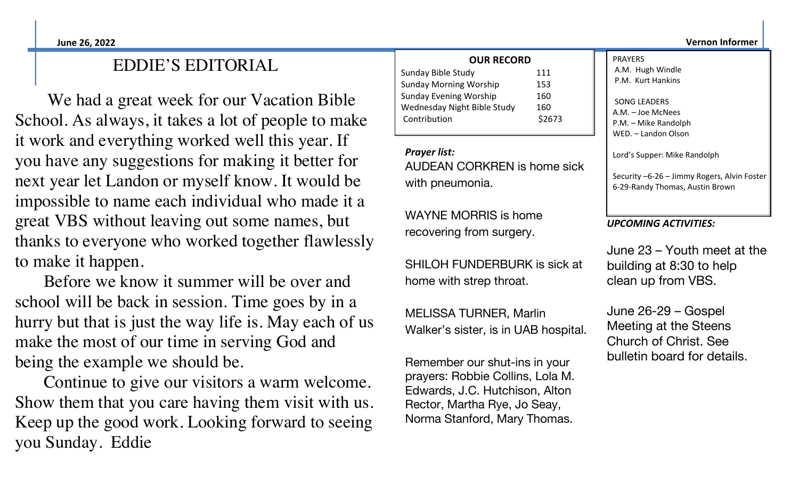## EDDIE'S EDITORIAL

We had a great week for our Vacation Bible School. As always, it takes a lot of people to make it work and everything worked well this year. If you have any suggestions for making it better for next year let Landon or myself know. It would be impossible to name each individual who made it a great VBS without leaving out some names, but thanks to everyone who worked together flawlessly to make it happen.

Before we know it summer will be over and school will be back in session. Time goes by in a hurry but that is just the way life is. May each of us make the most of our time in serving God and being the example we should be.

Continue to give our visitors a warm welcome. Show them that you care having them visit with us. Keep up the good work. Looking forward to seeing you Sunday. Eddie

| <b>OUR RECORD</b>                  |        |
|------------------------------------|--------|
| Sunday Bible Study                 | 111    |
| <b>Sunday Morning Worship</b>      | 153    |
| <b>Sunday Evening Worship</b>      | 160    |
| <b>Wednesday Night Bible Study</b> | 160    |
| Contribution                       | \$2673 |

*Prayer list:* AUDEAN CORKREN is home sick with pneumonia.

WAYNE MORRIS is home recovering from surgery.

SHILOH FUNDERBURK is sick at home with strep throat.

MELISSA TURNER, Marlin Walker's sister, is in UAB hospital.

Remember our shut-ins in your prayers: Robbie Collins, Lola M. Edwards, J.C. Hutchison, Alton Rector, Martha Rye, Jo Seay, Norma Stanford, Mary Thomas.

**June 26, 2022 Vernon Informer**

PRAYERS A.M. Hugh Windle P.M. Kurt Hankins

SONG LEADERS A.M. – Joe McNees P.M. – Mike Randolph WED. – Landon Olson

Lord's Supper: Mike Randolph

Security –6-26 – Jimmy Rogers, Alvin Foster 6-29-Randy Thomas, Austin Brown

#### *UPCOMING ACTIVITIES:*

June 23 – Youth meet at the building at 8:30 to help clean up from VBS.

June 26-29 – Gospel Meeting at the Steens Church of Christ. See bulletin board for details.